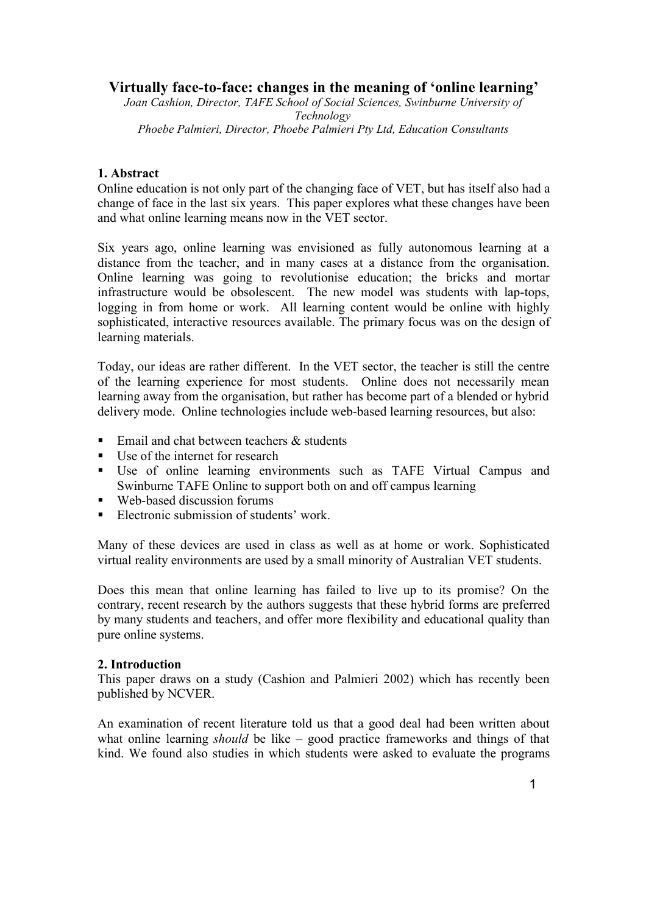# **Virtually face-to-face: changes in the meaning of 'online learning'**

*Joan Cashion, Director, TAFE School of Social Sciences, Swinburne University of Technology Phoebe Palmieri, Director, Phoebe Palmieri Pty Ltd, Education Consultants*

## **1. Abstract**

Online education is not only part of the changing face of VET, but has itself also had a change of face in the last six years. This paper explores what these changes have been and what online learning means now in the VET sector.

Six years ago, online learning was envisioned as fully autonomous learning at a distance from the teacher, and in many cases at a distance from the organisation. Online learning was going to revolutionise education; the bricks and mortar infrastructure would be obsolescent. The new model was students with lap-tops, logging in from home or work. All learning content would be online with highly sophisticated, interactive resources available. The primary focus was on the design of learning materials.

Today, our ideas are rather different. In the VET sector, the teacher is still the centre of the learning experience for most students. Online does not necessarily mean learning away from the organisation, but rather has become part of a blended or hybrid delivery mode. Online technologies include web-based learning resources, but also:

- $\blacksquare$  Email and chat between teachers & students
- Use of the internet for research
- Use of online learning environments such as TAFE Virtual Campus and Swinburne TAFE Online to support both on and off campus learning
- Web-based discussion forums
- Electronic submission of students' work.

Many of these devices are used in class as well as at home or work. Sophisticated virtual reality environments are used by a small minority of Australian VET students.

Does this mean that online learning has failed to live up to its promise? On the contrary, recent research by the authors suggests that these hybrid forms are preferred by many students and teachers, and offer more flexibility and educational quality than pure online systems.

### **2. Introduction**

This paper draws on a study (Cashion and Palmieri 2002) which has recently been published by NCVER.

An examination of recent literature told us that a good deal had been written about what online learning *should* be like – good practice frameworks and things of that kind. We found also studies in which students were asked to evaluate the programs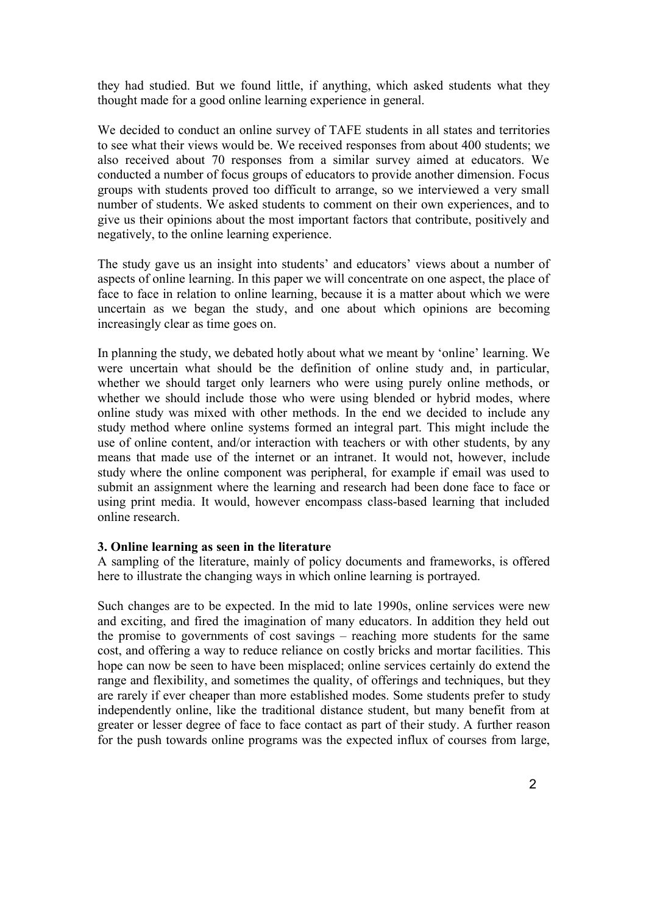they had studied. But we found little, if anything, which asked students what they thought made for a good online learning experience in general.

We decided to conduct an online survey of TAFE students in all states and territories to see what their views would be. We received responses from about 400 students; we also received about 70 responses from a similar survey aimed at educators. We conducted a number of focus groups of educators to provide another dimension. Focus groups with students proved too difficult to arrange, so we interviewed a very small number of students. We asked students to comment on their own experiences, and to give us their opinions about the most important factors that contribute, positively and negatively, to the online learning experience.

The study gave us an insight into students' and educators' views about a number of aspects of online learning. In this paper we will concentrate on one aspect, the place of face to face in relation to online learning, because it is a matter about which we were uncertain as we began the study, and one about which opinions are becoming increasingly clear as time goes on.

In planning the study, we debated hotly about what we meant by 'online' learning. We were uncertain what should be the definition of online study and, in particular, whether we should target only learners who were using purely online methods, or whether we should include those who were using blended or hybrid modes, where online study was mixed with other methods. In the end we decided to include any study method where online systems formed an integral part. This might include the use of online content, and/or interaction with teachers or with other students, by any means that made use of the internet or an intranet. It would not, however, include study where the online component was peripheral, for example if email was used to submit an assignment where the learning and research had been done face to face or using print media. It would, however encompass class-based learning that included online research.

### **3. Online learning as seen in the literature**

A sampling of the literature, mainly of policy documents and frameworks, is offered here to illustrate the changing ways in which online learning is portrayed.

Such changes are to be expected. In the mid to late 1990s, online services were new and exciting, and fired the imagination of many educators. In addition they held out the promise to governments of cost savings – reaching more students for the same cost, and offering a way to reduce reliance on costly bricks and mortar facilities. This hope can now be seen to have been misplaced; online services certainly do extend the range and flexibility, and sometimes the quality, of offerings and techniques, but they are rarely if ever cheaper than more established modes. Some students prefer to study independently online, like the traditional distance student, but many benefit from at greater or lesser degree of face to face contact as part of their study. A further reason for the push towards online programs was the expected influx of courses from large,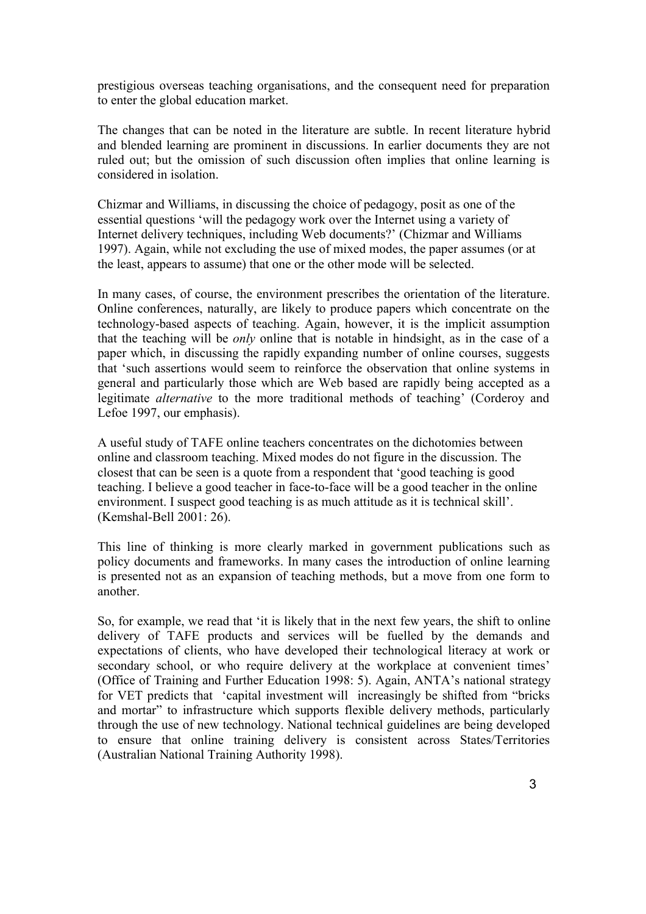prestigious overseas teaching organisations, and the consequent need for preparation to enter the global education market.

The changes that can be noted in the literature are subtle. In recent literature hybrid and blended learning are prominent in discussions. In earlier documents they are not ruled out; but the omission of such discussion often implies that online learning is considered in isolation.

Chizmar and Williams, in discussing the choice of pedagogy, posit as one of the essential questions 'will the pedagogy work over the Internet using a variety of Internet delivery techniques, including Web documents?' (Chizmar and Williams 1997). Again, while not excluding the use of mixed modes, the paper assumes (or at the least, appears to assume) that one or the other mode will be selected.

In many cases, of course, the environment prescribes the orientation of the literature. Online conferences, naturally, are likely to produce papers which concentrate on the technology-based aspects of teaching. Again, however, it is the implicit assumption that the teaching will be *only* online that is notable in hindsight, as in the case of a paper which, in discussing the rapidly expanding number of online courses, suggests that 'such assertions would seem to reinforce the observation that online systems in general and particularly those which are Web based are rapidly being accepted as a legitimate *alternative* to the more traditional methods of teaching' (Corderoy and Lefoe 1997, our emphasis).

A useful study of TAFE online teachers concentrates on the dichotomies between online and classroom teaching. Mixed modes do not figure in the discussion. The closest that can be seen is a quote from a respondent that 'good teaching is good teaching. I believe a good teacher in face-to-face will be a good teacher in the online environment. I suspect good teaching is as much attitude as it is technical skill'. (Kemshal-Bell 2001: 26).

This line of thinking is more clearly marked in government publications such as policy documents and frameworks. In many cases the introduction of online learning is presented not as an expansion of teaching methods, but a move from one form to another.

So, for example, we read that 'it is likely that in the next few years, the shift to online delivery of TAFE products and services will be fuelled by the demands and expectations of clients, who have developed their technological literacy at work or secondary school, or who require delivery at the workplace at convenient times' (Office of Training and Further Education 1998: 5). Again, ANTA's national strategy for VET predicts that 'capital investment will increasingly be shifted from "bricks and mortar" to infrastructure which supports flexible delivery methods, particularly through the use of new technology. National technical guidelines are being developed to ensure that online training delivery is consistent across States/Territories (Australian National Training Authority 1998).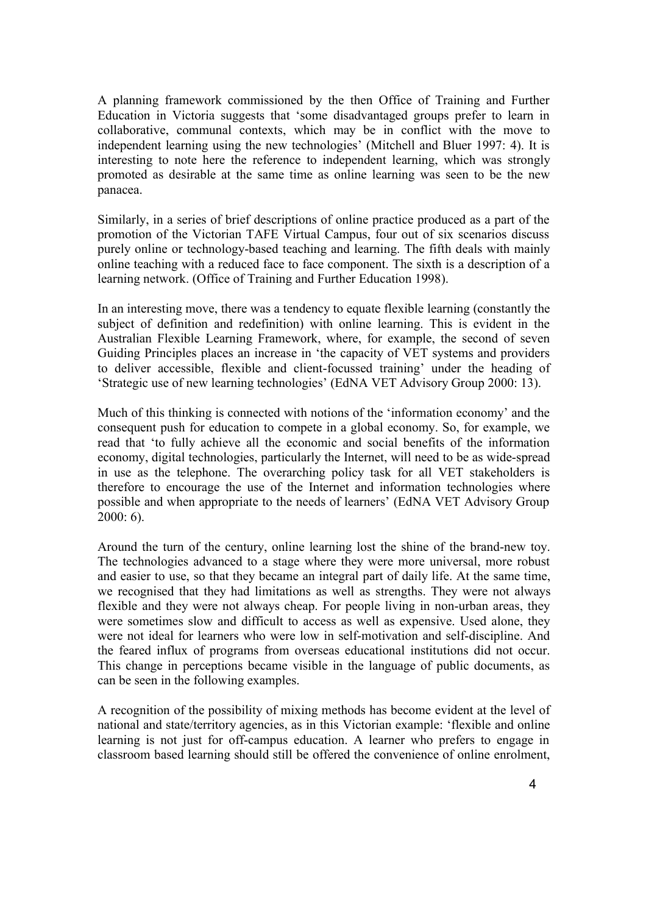A planning framework commissioned by the then Office of Training and Further Education in Victoria suggests that 'some disadvantaged groups prefer to learn in collaborative, communal contexts, which may be in conflict with the move to independent learning using the new technologies' (Mitchell and Bluer 1997: 4). It is interesting to note here the reference to independent learning, which was strongly promoted as desirable at the same time as online learning was seen to be the new panacea.

Similarly, in a series of brief descriptions of online practice produced as a part of the promotion of the Victorian TAFE Virtual Campus, four out of six scenarios discuss purely online or technology-based teaching and learning. The fifth deals with mainly online teaching with a reduced face to face component. The sixth is a description of a learning network. (Office of Training and Further Education 1998).

In an interesting move, there was a tendency to equate flexible learning (constantly the subject of definition and redefinition) with online learning. This is evident in the Australian Flexible Learning Framework, where, for example, the second of seven Guiding Principles places an increase in 'the capacity of VET systems and providers to deliver accessible, flexible and client-focussed training' under the heading of 'Strategic use of new learning technologies' (EdNA VET Advisory Group 2000: 13).

Much of this thinking is connected with notions of the 'information economy' and the consequent push for education to compete in a global economy. So, for example, we read that 'to fully achieve all the economic and social benefits of the information economy, digital technologies, particularly the Internet, will need to be as wide-spread in use as the telephone. The overarching policy task for all VET stakeholders is therefore to encourage the use of the Internet and information technologies where possible and when appropriate to the needs of learners' (EdNA VET Advisory Group  $2000: 6$ ).

Around the turn of the century, online learning lost the shine of the brand-new toy. The technologies advanced to a stage where they were more universal, more robust and easier to use, so that they became an integral part of daily life. At the same time, we recognised that they had limitations as well as strengths. They were not always flexible and they were not always cheap. For people living in non-urban areas, they were sometimes slow and difficult to access as well as expensive. Used alone, they were not ideal for learners who were low in self-motivation and self-discipline. And the feared influx of programs from overseas educational institutions did not occur. This change in perceptions became visible in the language of public documents, as can be seen in the following examples.

A recognition of the possibility of mixing methods has become evident at the level of national and state/territory agencies, as in this Victorian example: 'flexible and online learning is not just for off-campus education. A learner who prefers to engage in classroom based learning should still be offered the convenience of online enrolment,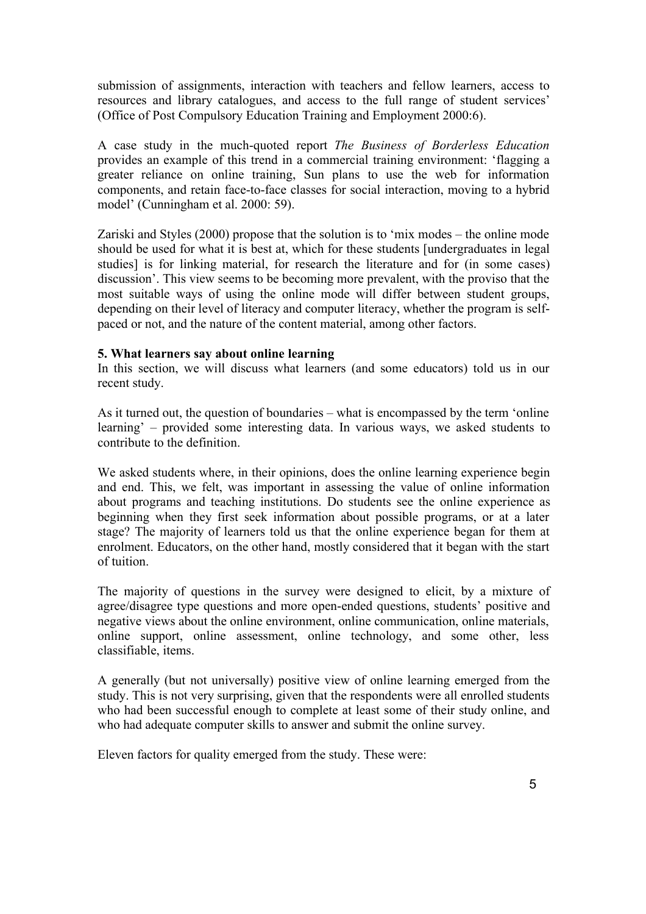submission of assignments, interaction with teachers and fellow learners, access to resources and library catalogues, and access to the full range of student services' (Office of Post Compulsory Education Training and Employment 2000:6).

A case study in the much-quoted report *The Business of Borderless Education* provides an example of this trend in a commercial training environment: 'flagging a greater reliance on online training, Sun plans to use the web for information components, and retain face-to-face classes for social interaction, moving to a hybrid model' (Cunningham et al. 2000: 59).

Zariski and Styles (2000) propose that the solution is to 'mix modes – the online mode should be used for what it is best at, which for these students [undergraduates in legal studies] is for linking material, for research the literature and for (in some cases) discussion'. This view seems to be becoming more prevalent, with the proviso that the most suitable ways of using the online mode will differ between student groups, depending on their level of literacy and computer literacy, whether the program is selfpaced or not, and the nature of the content material, among other factors.

### **5. What learners say about online learning**

In this section, we will discuss what learners (and some educators) told us in our recent study.

As it turned out, the question of boundaries – what is encompassed by the term 'online learning' – provided some interesting data. In various ways, we asked students to contribute to the definition.

We asked students where, in their opinions, does the online learning experience begin and end. This, we felt, was important in assessing the value of online information about programs and teaching institutions. Do students see the online experience as beginning when they first seek information about possible programs, or at a later stage? The majority of learners told us that the online experience began for them at enrolment. Educators, on the other hand, mostly considered that it began with the start of tuition.

The majority of questions in the survey were designed to elicit, by a mixture of agree/disagree type questions and more open-ended questions, students' positive and negative views about the online environment, online communication, online materials, online support, online assessment, online technology, and some other, less classifiable, items.

A generally (but not universally) positive view of online learning emerged from the study. This is not very surprising, given that the respondents were all enrolled students who had been successful enough to complete at least some of their study online, and who had adequate computer skills to answer and submit the online survey.

Eleven factors for quality emerged from the study. These were: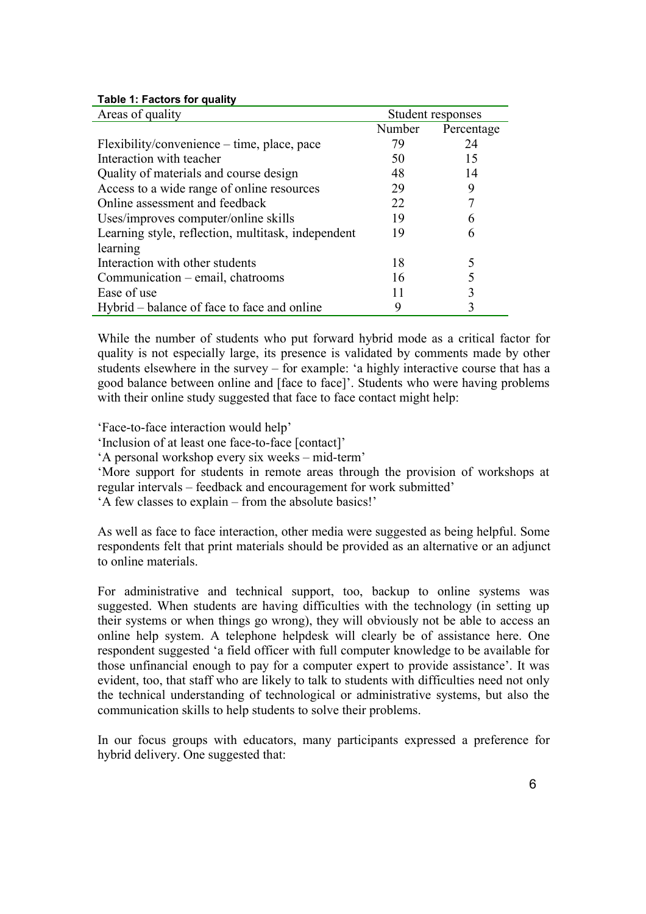| Areas of quality                                   | Student responses |            |
|----------------------------------------------------|-------------------|------------|
|                                                    | Number            | Percentage |
| Flexibility/convenience – time, place, pace        | 79                | 24         |
| Interaction with teacher                           | 50                | 15         |
| Quality of materials and course design             | 48                | 14         |
| Access to a wide range of online resources         | 29                | 9          |
| Online assessment and feedback                     | 22                |            |
| Uses/improves computer/online skills               | 19                | 6          |
| Learning style, reflection, multitask, independent | 19                | 6          |
| learning                                           |                   |            |
| Interaction with other students                    | 18                |            |
| Communication – email, chatrooms                   | 16                |            |
| Ease of use                                        | 11                | 3          |
| Hybrid – balance of face to face and online        | 9                 |            |

#### **Table 1: Factors for quality**

While the number of students who put forward hybrid mode as a critical factor for quality is not especially large, its presence is validated by comments made by other students elsewhere in the survey – for example: 'a highly interactive course that has a good balance between online and [face to face]'. Students who were having problems with their online study suggested that face to face contact might help:

'Face-to-face interaction would help'

'Inclusion of at least one face-to-face [contact]'

'A personal workshop every six weeks – mid-term'

'More support for students in remote areas through the provision of workshops at regular intervals – feedback and encouragement for work submitted'

'A few classes to explain – from the absolute basics!'

As well as face to face interaction, other media were suggested as being helpful. Some respondents felt that print materials should be provided as an alternative or an adjunct to online materials.

For administrative and technical support, too, backup to online systems was suggested. When students are having difficulties with the technology (in setting up their systems or when things go wrong), they will obviously not be able to access an online help system. A telephone helpdesk will clearly be of assistance here. One respondent suggested 'a field officer with full computer knowledge to be available for those unfinancial enough to pay for a computer expert to provide assistance'. It was evident, too, that staff who are likely to talk to students with difficulties need not only the technical understanding of technological or administrative systems, but also the communication skills to help students to solve their problems.

In our focus groups with educators, many participants expressed a preference for hybrid delivery. One suggested that: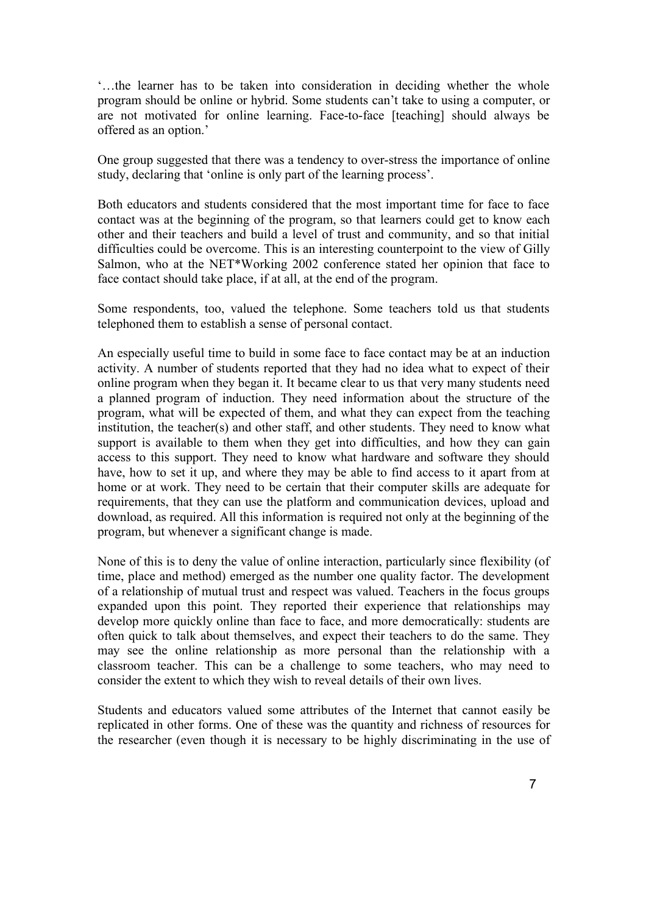'…the learner has to be taken into consideration in deciding whether the whole program should be online or hybrid. Some students can't take to using a computer, or are not motivated for online learning. Face-to-face [teaching] should always be offered as an option.'

One group suggested that there was a tendency to over-stress the importance of online study, declaring that 'online is only part of the learning process'.

Both educators and students considered that the most important time for face to face contact was at the beginning of the program, so that learners could get to know each other and their teachers and build a level of trust and community, and so that initial difficulties could be overcome. This is an interesting counterpoint to the view of Gilly Salmon, who at the NET\*Working 2002 conference stated her opinion that face to face contact should take place, if at all, at the end of the program.

Some respondents, too, valued the telephone. Some teachers told us that students telephoned them to establish a sense of personal contact.

An especially useful time to build in some face to face contact may be at an induction activity. A number of students reported that they had no idea what to expect of their online program when they began it. It became clear to us that very many students need a planned program of induction. They need information about the structure of the program, what will be expected of them, and what they can expect from the teaching institution, the teacher(s) and other staff, and other students. They need to know what support is available to them when they get into difficulties, and how they can gain access to this support. They need to know what hardware and software they should have, how to set it up, and where they may be able to find access to it apart from at home or at work. They need to be certain that their computer skills are adequate for requirements, that they can use the platform and communication devices, upload and download, as required. All this information is required not only at the beginning of the program, but whenever a significant change is made.

None of this is to deny the value of online interaction, particularly since flexibility (of time, place and method) emerged as the number one quality factor. The development of a relationship of mutual trust and respect was valued. Teachers in the focus groups expanded upon this point. They reported their experience that relationships may develop more quickly online than face to face, and more democratically: students are often quick to talk about themselves, and expect their teachers to do the same. They may see the online relationship as more personal than the relationship with a classroom teacher. This can be a challenge to some teachers, who may need to consider the extent to which they wish to reveal details of their own lives.

Students and educators valued some attributes of the Internet that cannot easily be replicated in other forms. One of these was the quantity and richness of resources for the researcher (even though it is necessary to be highly discriminating in the use of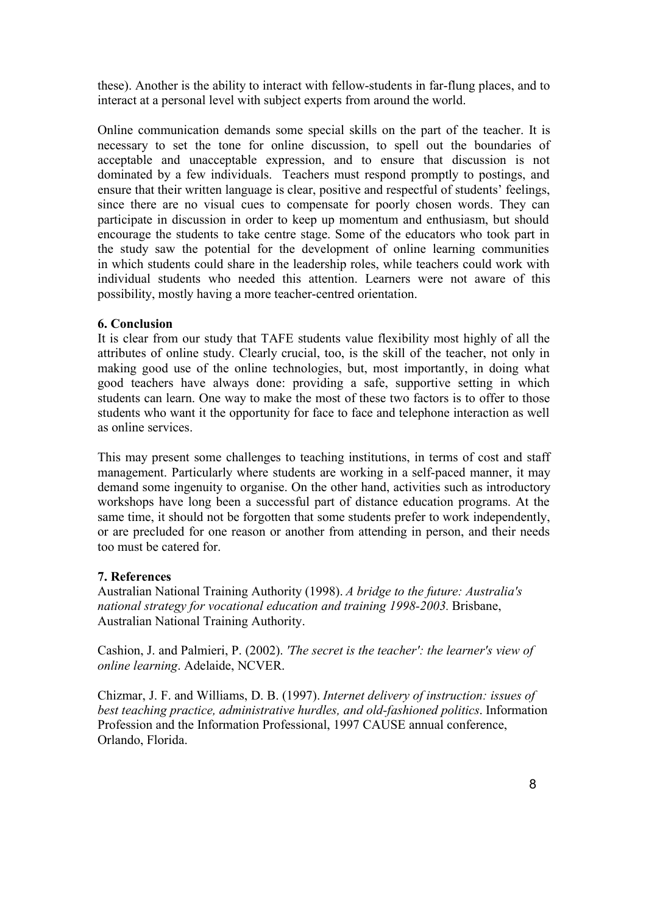these). Another is the ability to interact with fellow-students in far-flung places, and to interact at a personal level with subject experts from around the world.

Online communication demands some special skills on the part of the teacher. It is necessary to set the tone for online discussion, to spell out the boundaries of acceptable and unacceptable expression, and to ensure that discussion is not dominated by a few individuals. Teachers must respond promptly to postings, and ensure that their written language is clear, positive and respectful of students' feelings, since there are no visual cues to compensate for poorly chosen words. They can participate in discussion in order to keep up momentum and enthusiasm, but should encourage the students to take centre stage. Some of the educators who took part in the study saw the potential for the development of online learning communities in which students could share in the leadership roles, while teachers could work with individual students who needed this attention. Learners were not aware of this possibility, mostly having a more teacher-centred orientation.

### **6. Conclusion**

It is clear from our study that TAFE students value flexibility most highly of all the attributes of online study. Clearly crucial, too, is the skill of the teacher, not only in making good use of the online technologies, but, most importantly, in doing what good teachers have always done: providing a safe, supportive setting in which students can learn. One way to make the most of these two factors is to offer to those students who want it the opportunity for face to face and telephone interaction as well as online services.

This may present some challenges to teaching institutions, in terms of cost and staff management. Particularly where students are working in a self-paced manner, it may demand some ingenuity to organise. On the other hand, activities such as introductory workshops have long been a successful part of distance education programs. At the same time, it should not be forgotten that some students prefer to work independently, or are precluded for one reason or another from attending in person, and their needs too must be catered for.

### **7. References**

Australian National Training Authority (1998). *A bridge to the future: Australia's national strategy for vocational education and training 1998-2003.* Brisbane, Australian National Training Authority.

Cashion, J. and Palmieri, P. (2002). *'The secret is the teacher': the learner's view of online learning*. Adelaide, NCVER.

Chizmar, J. F. and Williams, D. B. (1997). *Internet delivery of instruction: issues of best teaching practice, administrative hurdles, and old-fashioned politics*. Information Profession and the Information Professional, 1997 CAUSE annual conference, Orlando, Florida.